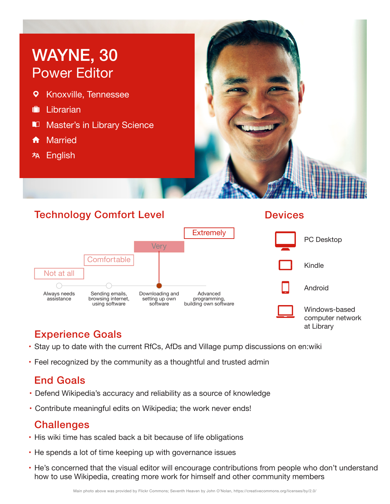# WAYNE, 30 Power Editor

- $\overline{Q}$ Knoxville, Tennessee
- **I**II librarian
- **M** Master's in Library Science
- **f** Married
- **林 English**



### Technology Comfort Level



#### **Devices**



# Experience Goals

- Stay up to date with the current RfCs, AfDs and Village pump discussions on en:wiki
- Feel recognized by the community as a thoughtful and trusted admin

# End Goals

- Defend Wikipedia's accuracy and reliability as a source of knowledge
- Contribute meaningful edits on Wikipedia; the work never ends!

### **Challenges**

- His wiki time has scaled back a bit because of life obligations
- He spends a lot of time keeping up with governance issues
- He's concerned that the visual editor will encourage contributions from people who don't understand how to use Wikipedia, creating more work for himself and other community members